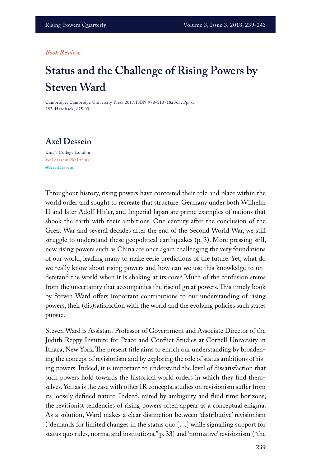## *Book Review*

## **Status and the Challenge of Rising Powers by Steven Ward**

Cambridge: Cambridge University Press 2017.ISBN 978-1107182363. Pp. x, 282. Hardback, £75.00.

## **Axel Dessein**

King's College London **axel.dessein@kcl.ac.uk @AxelDessein**

Throughout history, rising powers have contested their role and place within the world order and sought to recreate that structure. Germany under both Wilhelm II and later Adolf Hitler, and Imperial Japan are prime examples of nations that shook the earth with their ambitions. One century after the conclusion of the Great War and several decades after the end of the Second World War, we still struggle to understand these geopolitical earthquakes (p. 3). More pressing still, new rising powers such as China are once again challenging the very foundations of our world, leading many to make eerie predictions of the future. Yet, what do we really know about rising powers and how can we use this knowledge to understand the world when it is shaking at its core? Much of the confusion stems from the uncertainty that accompanies the rise of great powers. This timely book by Steven Ward offers important contributions to our understanding of rising powers, their (dis)satisfaction with the world and the evolving policies such states pursue.

Steven Ward is Assistant Professor of Government and Associate Director of the Judith Reppy Institute for Peace and Conflict Studies at Cornell University in Ithaca, New York. The present title aims to enrich our understanding by broadening the concept of revisionism and by exploring the role of status ambitions of rising powers. Indeed, it is important to understand the level of dissatisfaction that such powers hold towards the historical world orders in which they find themselves. Yet, as is the case with other IR concepts, studies on revisionism suffer from its loosely defined nature. Indeed, mired by ambiguity and fluid time horizons, the revisionist tendencies of rising powers often appear as a conceptual enigma. As a solution, Ward makes a clear distinction between 'distributive' revisionism ("demands for limited changes in the status quo […] while signalling support for status quo rules, norms, and institutions," p. 33) and 'normative' revisionism ("the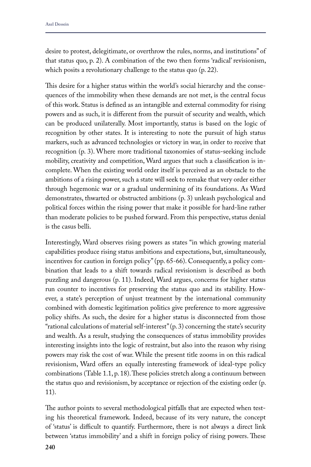desire to protest, delegitimate, or overthrow the rules, norms, and institutions" of that status quo, p. 2). A combination of the two then forms 'radical' revisionism, which posits a revolutionary challenge to the status quo (p. 22).

This desire for a higher status within the world's social hierarchy and the consequences of the immobility when these demands are not met, is the central focus of this work. Status is defined as an intangible and external commodity for rising powers and as such, it is different from the pursuit of security and wealth, which can be produced unilaterally. Most importantly, status is based on the logic of recognition by other states. It is interesting to note the pursuit of high status markers, such as advanced technologies or victory in war, in order to receive that recognition (p. 3). Where more traditional taxonomies of status-seeking include mobility, creativity and competition, Ward argues that such a classification is incomplete. When the existing world order itself is perceived as an obstacle to the ambitions of a rising power, such a state will seek to remake that very order either through hegemonic war or a gradual undermining of its foundations. As Ward demonstrates, thwarted or obstructed ambitions (p. 3) unleash psychological and political forces within the rising power that make it possible for hard-line rather than moderate policies to be pushed forward. From this perspective, status denial is the casus belli.

Interestingly, Ward observes rising powers as states "in which growing material capabilities produce rising status ambitions and expectations, but, simultaneously, incentives for caution in foreign policy" (pp. 65-66). Consequently, a policy combination that leads to a shift towards radical revisionism is described as both puzzling and dangerous (p. 11). Indeed, Ward argues, concerns for higher status run counter to incentives for preserving the status quo and its stability. However, a state's perception of unjust treatment by the international community combined with domestic legitimation politics give preference to more aggressive policy shifts. As such, the desire for a higher status is disconnected from those "rational calculations of material self-interest" (p. 3) concerning the state's security and wealth. As a result, studying the consequences of status immobility provides interesting insights into the logic of restraint, but also into the reason why rising powers may risk the cost of war. While the present title zooms in on this radical revisionism, Ward offers an equally interesting framework of ideal-type policy combinations (Table 1.1, p. 18). These policies stretch along a continuum between the status quo and revisionism, by acceptance or rejection of the existing order (p. 11).

The author points to several methodological pitfalls that are expected when testing his theoretical framework. Indeed, because of its very nature, the concept of 'status' is difficult to quantify. Furthermore, there is not always a direct link between 'status immobility' and a shift in foreign policy of rising powers. These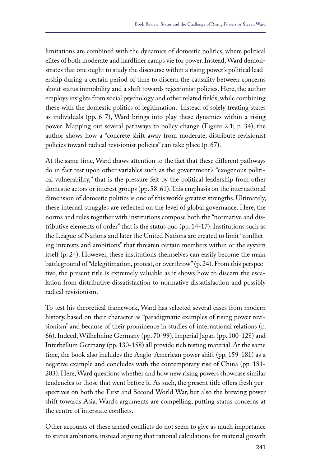limitations are combined with the dynamics of domestic politics, where political elites of both moderate and hardliner camps vie for power. Instead, Ward demonstrates that one ought to study the discourse within a rising power's political leadership during a certain period of time to discern the causality between concerns about status immobility and a shift towards rejectionist policies. Here, the author employs insights from social psychology and other related fields, while combining these with the domestic politics of legitimation. Instead of solely treating states as individuals (pp. 6-7), Ward brings into play these dynamics within a rising power. Mapping out several pathways to policy change (Figure 2.1; p. 34), the author shows how a "concrete shift away from moderate, distribute revisionist policies toward radical revisionist policies" can take place (p. 67).

At the same time, Ward draws attention to the fact that these different pathways do in fact rest upon other variables such as the government's "exogenous political vulnerability," that is the pressure felt by the political leadership from other domestic actors or interest groups (pp. 58-61). This emphasis on the international dimension of domestic politics is one of this work's greatest strengths. Ultimately, these internal struggles are reflected on the level of global governance. Here, the norms and rules together with institutions compose both the "normative and distributive elements of order" that is the status quo (pp. 14-17). Institutions such as the League of Nations and later the United Nations are created to limit "conflicting interests and ambitions" that threaten certain members within or the system itself (p. 24). However, these institutions themselves can easily become the main battleground of "delegitimation, protest, or overthrow" (p. 24). From this perspective, the present title is extremely valuable as it shows how to discern the escalation from distributive dissatisfaction to normative dissatisfaction and possibly radical revisionism.

To test his theoretical framework, Ward has selected several cases from modern history, based on their character as "paradigmatic examples of rising power revisionism" and because of their prominence in studies of international relations (p. 66). Indeed, Wilhelmine Germany (pp. 70-99), Imperial Japan (pp. 100-128) and Interbellum Germany (pp. 130-158) all provide rich testing material. At the same time, the book also includes the Anglo-American power shift (pp. 159-181) as a negative example and concludes with the contemporary rise of China (pp. 181- 203). Here, Ward questions whether and how new rising powers showcase similar tendencies to those that went before it. As such, the present title offers fresh perspectives on both the First and Second World War, but also the brewing power shift towards Asia. Ward's arguments are compelling, putting status concerns at the centre of interstate conflicts.

Other accounts of these armed conflicts do not seem to give as much importance to status ambitions, instead arguing that rational calculations for material growth